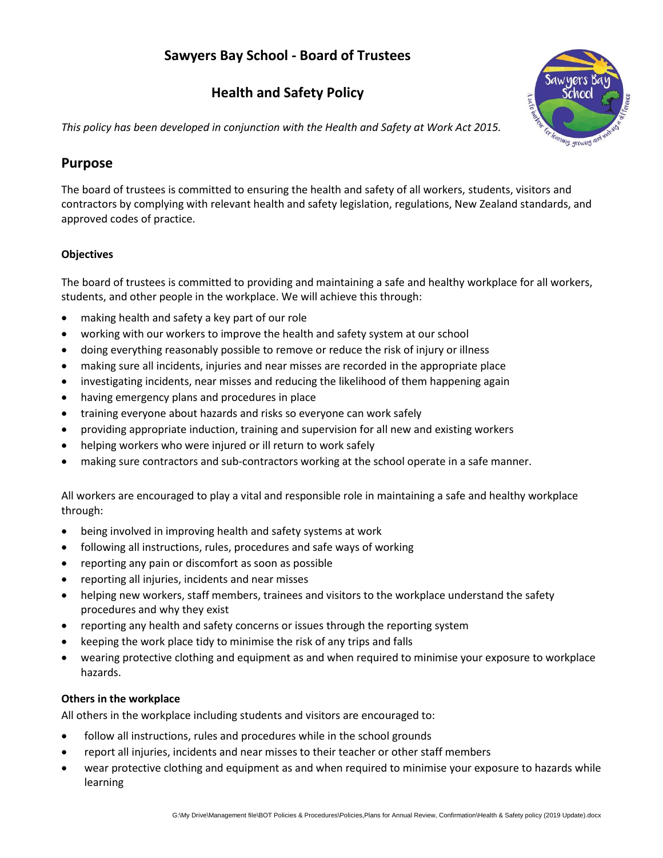# **Sawyers Bay School - Board of Trustees**

# **Health and Safety Policy**



*This policy has been developed in conjunction with the Health and Safety at Work Act 2015.*

## **Purpose**

The board of trustees is committed to ensuring the health and safety of all workers, students, visitors and contractors by complying with relevant health and safety legislation, regulations, New Zealand standards, and approved codes of practice.

#### **Objectives**

The board of trustees is committed to providing and maintaining a safe and healthy workplace for all workers, students, and other people in the workplace. We will achieve this through:

- making health and safety a key part of our role
- working with our workers to improve the health and safety system at our school
- doing everything reasonably possible to remove or reduce the risk of injury or illness
- making sure all incidents, injuries and near misses are recorded in the appropriate place
- investigating incidents, near misses and reducing the likelihood of them happening again
- having emergency plans and procedures in place
- training everyone about hazards and risks so everyone can work safely
- providing appropriate induction, training and supervision for all new and existing workers
- helping workers who were injured or ill return to work safely
- making sure contractors and sub-contractors working at the school operate in a safe manner.

All workers are encouraged to play a vital and responsible role in maintaining a safe and healthy workplace through:

- being involved in improving health and safety systems at work
- following all instructions, rules, procedures and safe ways of working
- reporting any pain or discomfort as soon as possible
- reporting all injuries, incidents and near misses
- helping new workers, staff members, trainees and visitors to the workplace understand the safety procedures and why they exist
- reporting any health and safety concerns or issues through the reporting system
- keeping the work place tidy to minimise the risk of any trips and falls
- wearing protective clothing and equipment as and when required to minimise your exposure to workplace hazards.

#### **Others in the workplace**

All others in the workplace including students and visitors are encouraged to:

- follow all instructions, rules and procedures while in the school grounds
- report all injuries, incidents and near misses to their teacher or other staff members
- wear protective clothing and equipment as and when required to minimise your exposure to hazards while learning